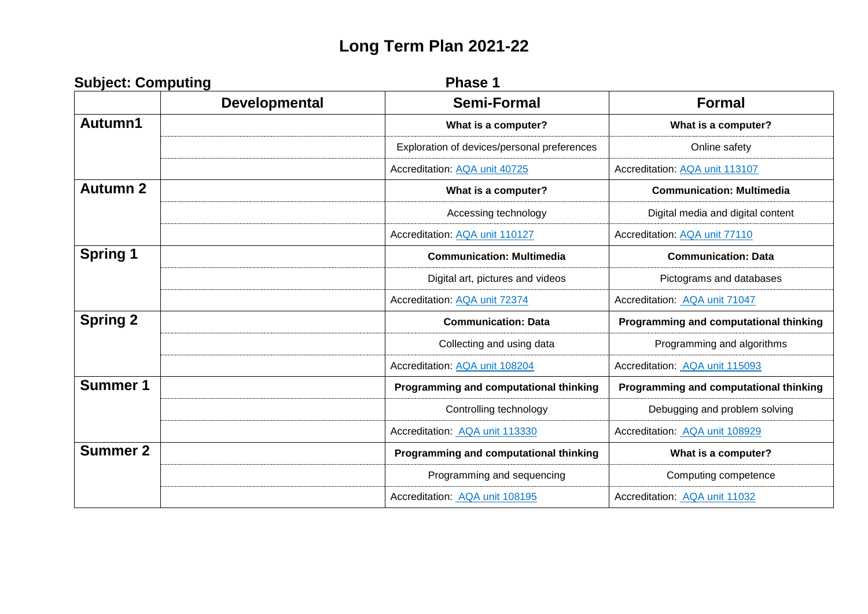## **Long Term Plan 2021-22**

| <b>Subject: Computing</b> |                      | Phase 1                                     |                                        |
|---------------------------|----------------------|---------------------------------------------|----------------------------------------|
|                           | <b>Developmental</b> | <b>Semi-Formal</b>                          | <b>Formal</b>                          |
| Autumn1                   |                      | What is a computer?                         | What is a computer?                    |
|                           |                      | Exploration of devices/personal preferences | Online safety                          |
|                           |                      | Accreditation: AQA unit 40725               | Accreditation: AQA unit 113107         |
| <b>Autumn 2</b>           |                      | What is a computer?                         | <b>Communication: Multimedia</b>       |
|                           |                      | Accessing technology                        | Digital media and digital content      |
|                           |                      | Accreditation: AQA unit 110127              | Accreditation: AQA unit 77110          |
| <b>Spring 1</b>           |                      | <b>Communication: Multimedia</b>            | <b>Communication: Data</b>             |
|                           |                      | Digital art, pictures and videos            | Pictograms and databases               |
|                           |                      | Accreditation: AQA unit 72374               | Accreditation: AQA unit 71047          |
| <b>Spring 2</b>           |                      | <b>Communication: Data</b>                  | Programming and computational thinking |
|                           |                      | Collecting and using data                   | Programming and algorithms             |
|                           |                      | Accreditation: AQA unit 108204              | Accreditation: AQA unit 115093         |
| <b>Summer 1</b>           |                      | Programming and computational thinking      | Programming and computational thinking |
|                           |                      | Controlling technology                      | Debugging and problem solving          |
|                           |                      | Accreditation: AQA unit 113330              | Accreditation: AQA unit 108929         |
| <b>Summer 2</b>           |                      | Programming and computational thinking      | What is a computer?                    |
|                           |                      | Programming and sequencing                  | Computing competence                   |
|                           |                      | Accreditation: AQA unit 108195              | Accreditation: AQA unit 11032          |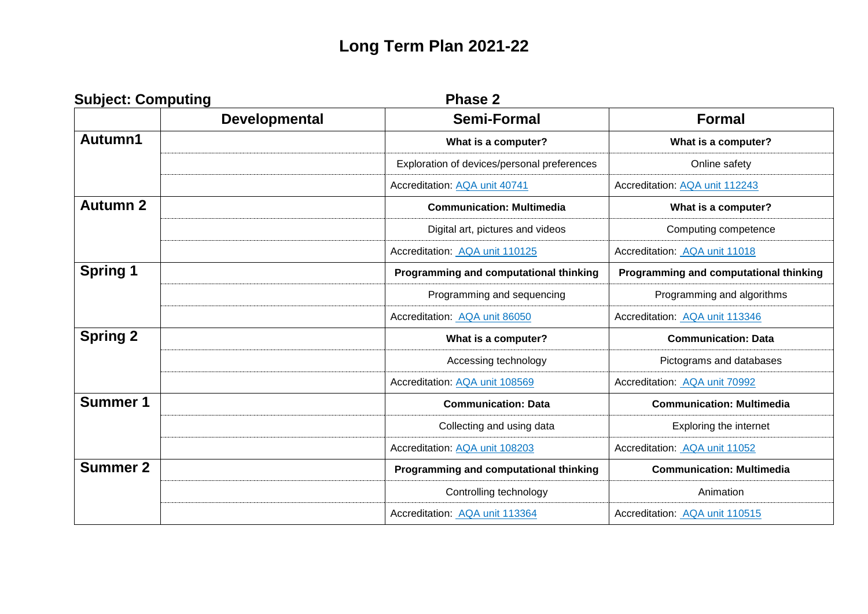## **Long Term Plan 2021-22**

| <b>Subject: Computing</b> |                      | <b>Phase 2</b>                              |                                        |
|---------------------------|----------------------|---------------------------------------------|----------------------------------------|
|                           | <b>Developmental</b> | <b>Semi-Formal</b>                          | <b>Formal</b>                          |
| Autumn1                   |                      | What is a computer?                         | What is a computer?                    |
|                           |                      | Exploration of devices/personal preferences | Online safety                          |
|                           |                      | Accreditation: AQA unit 40741               | Accreditation: AQA unit 112243         |
| <b>Autumn 2</b>           |                      | <b>Communication: Multimedia</b>            | What is a computer?                    |
|                           |                      | Digital art, pictures and videos            | Computing competence                   |
|                           |                      | Accreditation: AQA unit 110125              | Accreditation: AQA unit 11018          |
| <b>Spring 1</b>           |                      | Programming and computational thinking      | Programming and computational thinking |
|                           |                      | Programming and sequencing                  | Programming and algorithms             |
|                           |                      | Accreditation: AQA unit 86050               | Accreditation: AQA unit 113346         |
| <b>Spring 2</b>           |                      | What is a computer?                         | <b>Communication: Data</b>             |
|                           |                      | Accessing technology                        | Pictograms and databases               |
|                           |                      | Accreditation: AQA unit 108569              | Accreditation: AQA unit 70992          |
| <b>Summer 1</b>           |                      | <b>Communication: Data</b>                  | <b>Communication: Multimedia</b>       |
|                           |                      | Collecting and using data                   | Exploring the internet                 |
|                           |                      | Accreditation: AQA unit 108203              | Accreditation: AQA unit 11052          |
| <b>Summer 2</b>           |                      | Programming and computational thinking      | <b>Communication: Multimedia</b>       |
|                           |                      | Controlling technology                      | Animation                              |
|                           |                      | Accreditation: AQA unit 113364              | Accreditation: AQA unit 110515         |